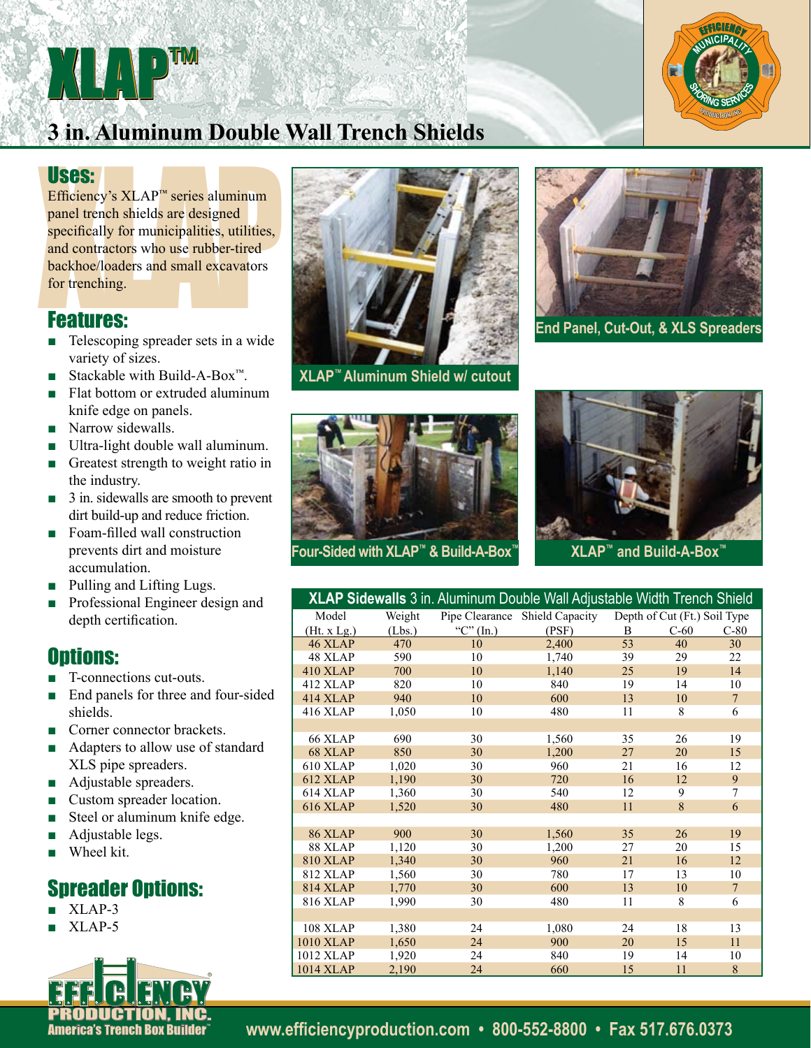# **3 in. Aluminum Double Wall Trench Shields**

XLAP™™

USES:<br>
Efficiency's XLAP<sup>TM</sup> series aluminum<br>
panel trench shields are designed<br>
specifically for municipalities, utilities,<br>
and contractors who use rubber-tired<br>
backhoe/loaders and small excavators<br>
for trenching.<br> **FC** Efficiency's XLAP™ series aluminum panel trench shields are designed specifically for municipalities, utilities, and contractors who use rubber-tired backhoe/loaders and small excavators for trenching.

## Features:

- Telescoping spreader sets in a wide variety of sizes.
- Stackable with Build-A-Box<sup>™</sup>.
- Flat bottom or extruded aluminum knife edge on panels.
- Narrow sidewalls.
- Ultra-light double wall aluminum.
- Greatest strength to weight ratio in the industry.
- 3 in. sidewalls are smooth to prevent dirt build-up and reduce friction.
- Foam-filled wall construction prevents dirt and moisture accumulation.
- Pulling and Lifting Lugs.
- Professional Engineer design and depth certification.

### **Ontions:**

- T-connections cut-outs.
- End panels for three and four-sided shields.
- Corner connector brackets.
- Adapters to allow use of standard XLS pipe spreaders.
- Adjustable spreaders.
- Custom spreader location.
- Steel or aluminum knife edge.
- Adjustable legs.
- Wheel kit.

## Spreader Options:

- XLAP-3
- $\blacksquare$  XLAP-5





**XLAP™ Aluminum Shield w/ cutout**



**End Panel, Cut-Out, & XLS Spreaders**





|                  |        |                | XLAP Sidewalls 3 in. Aluminum Double Wall Adjustable Width Trench Shield |    |                              |                |
|------------------|--------|----------------|--------------------------------------------------------------------------|----|------------------------------|----------------|
| Model            | Weight | Pipe Clearance | <b>Shield Capacity</b>                                                   |    | Depth of Cut (Ft.) Soil Type |                |
| (Ht. x Lg.)      | (Lbs.) | " $C$ " (In.)  | (PSF)                                                                    | B  | $C-60$                       | $C-80$         |
| 46 XLAP          | 470    | 10             | 2,400                                                                    | 53 | 40                           | 30             |
| 48 XLAP          | 590    | 10             | 1,740                                                                    | 39 | 29                           | 22             |
| <b>410 XLAP</b>  | 700    | 10             | 1,140                                                                    | 25 | 19                           | 14             |
| 412 XLAP         | 820    | 10             | 840                                                                      | 19 | 14                           | 10             |
| <b>414 XLAP</b>  | 940    | 10             | 600                                                                      | 13 | 10                           | $\overline{7}$ |
| <b>416 XLAP</b>  | 1,050  | 10             | 480                                                                      | 11 | 8                            | 6              |
|                  |        |                |                                                                          |    |                              |                |
| 66 XLAP          | 690    | 30             | 1,560                                                                    | 35 | 26                           | 19             |
| 68 XLAP          | 850    | 30             | 1,200                                                                    | 27 | 20                           | 15             |
| 610 XLAP         | 1,020  | 30             | 960                                                                      | 21 | 16                           | 12             |
| 612 XLAP         | 1,190  | 30             | 720                                                                      | 16 | 12                           | 9              |
| 614 XLAP         | 1,360  | 30             | 540                                                                      | 12 | 9                            | 7              |
| <b>616 XLAP</b>  | 1,520  | 30             | 480                                                                      | 11 | 8                            | 6              |
|                  |        |                |                                                                          |    |                              |                |
| 86 XLAP          | 900    | 30             | 1,560                                                                    | 35 | 26                           | 19             |
| 88 XLAP          | 1,120  | 30             | 1,200                                                                    | 27 | 20                           | 15             |
| <b>810 XLAP</b>  | 1,340  | 30             | 960                                                                      | 21 | 16                           | 12             |
| <b>812 XLAP</b>  | 1,560  | 30             | 780                                                                      | 17 | 13                           | 10             |
| <b>814 XLAP</b>  | 1,770  | 30             | 600                                                                      | 13 | 10                           | $\overline{7}$ |
| <b>816 XLAP</b>  | 1,990  | 30             | 480                                                                      | 11 | 8                            | 6              |
|                  |        |                |                                                                          |    |                              |                |
| <b>108 XLAP</b>  | 1,380  | 24             | 1,080                                                                    | 24 | 18                           | 13             |
| <b>1010 XLAP</b> | 1,650  | 24             | 900                                                                      | 20 | 15                           | 11             |
| 1012 XLAP        | 1,920  | 24             | 840                                                                      | 19 | 14                           | 10             |
| <b>1014 XLAP</b> | 2,190  | 24             | 660                                                                      | 15 | 11                           | 8              |